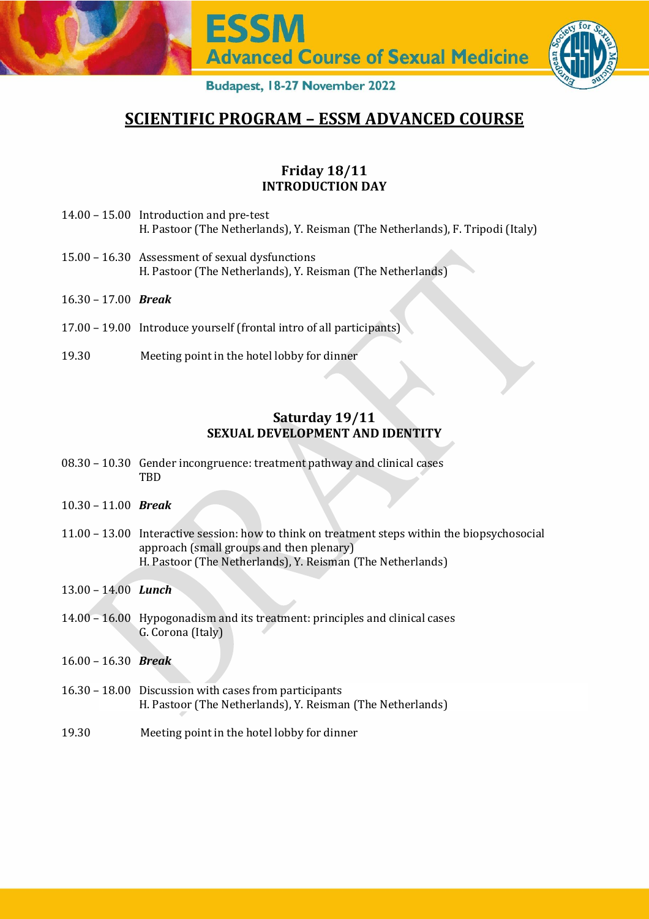

# **SCIENTIFIC PROGRAM – ESSM ADVANCED COURSE**

## **Friday 18/11 INTRODUCTION DAY**

- 14.00 15.00 Introduction and pre-test H. Pastoor (The Netherlands), Y. Reisman (The Netherlands), F. Tripodi (Italy)
- 15.00 16.30 Assessment of sexual dysfunctions H. Pastoor (The Netherlands), Y. Reisman (The Netherlands)
- 16.30 17.00 *Break*
- 17.00 19.00 Introduce yourself (frontal intro of all participants)
- 19.30 Meeting point in the hotel lobby for dinner

# **Saturday 19/11 SEXUAL DEVELOPMENT AND IDENTITY**

- 08.30 10.30 Gender incongruence: treatment pathway and clinical cases **TBD**
- 10.30 11.00 *Break*
- 11.00 13.00 Interactive session: how to think on treatment steps within the biopsychosocial approach (small groups and then plenary) H. Pastoor (The Netherlands), Y. Reisman (The Netherlands)
- 13.00 14.00 *Lunch*
- 14.00 16.00 Hypogonadism and its treatment: principles and clinical cases G. Corona (Italy)
- 16.00 16.30 *Break*
- 16.30 18.00 Discussion with cases from participants H. Pastoor (The Netherlands), Y. Reisman (The Netherlands)
- 19.30 Meeting point in the hotel lobby for dinner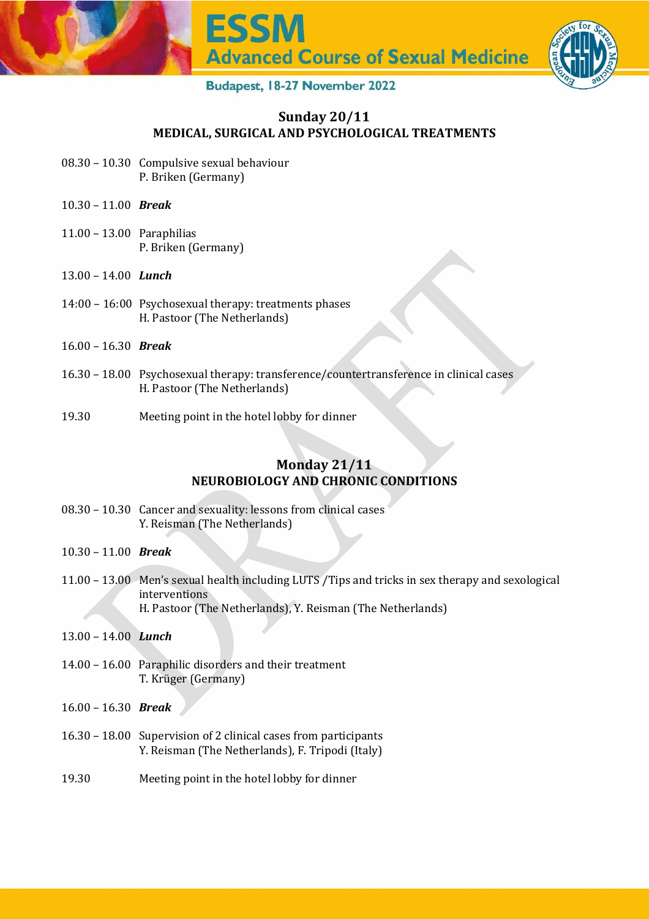

## **Sunday 20/11 MEDICAL, SURGICAL AND PSYCHOLOGICAL TREATMENTS**

- 08.30 10.30 Compulsive sexual behaviour P. Briken (Germany)
- 10.30 11.00 *Break*
- 11.00 13.00 Paraphilias P. Briken (Germany)
- 13.00 14.00 *Lunch*
- 14:00 16:00 Psychosexual therapy: treatments phases H. Pastoor (The Netherlands)
- 16.00 16.30 *Break*
- 16.30 18.00 Psychosexual therapy: transference/countertransference in clinical cases H. Pastoor (The Netherlands)
- 19.30 Meeting point in the hotel lobby for dinner

## **Monday 21/11 NEUROBIOLOGY AND CHRONIC CONDITIONS**

- 08.30 10.30 Cancer and sexuality: lessons from clinical cases Y. Reisman (The Netherlands)
- 10.30 11.00 *Break*
- 11.00 13.00 Men's sexual health including LUTS /Tips and tricks in sex therapy and sexological interventions H. Pastoor (The Netherlands), Y. Reisman (The Netherlands)
- 13.00 14.00 *Lunch*
- 14.00 16.00 Paraphilic disorders and their treatment T. Krüger (Germany)
- 16.00 16.30 *Break*
- 16.30 18.00 Supervision of 2 clinical cases from participants Y. Reisman (The Netherlands), F. Tripodi (Italy)
- 19.30 Meeting point in the hotel lobby for dinner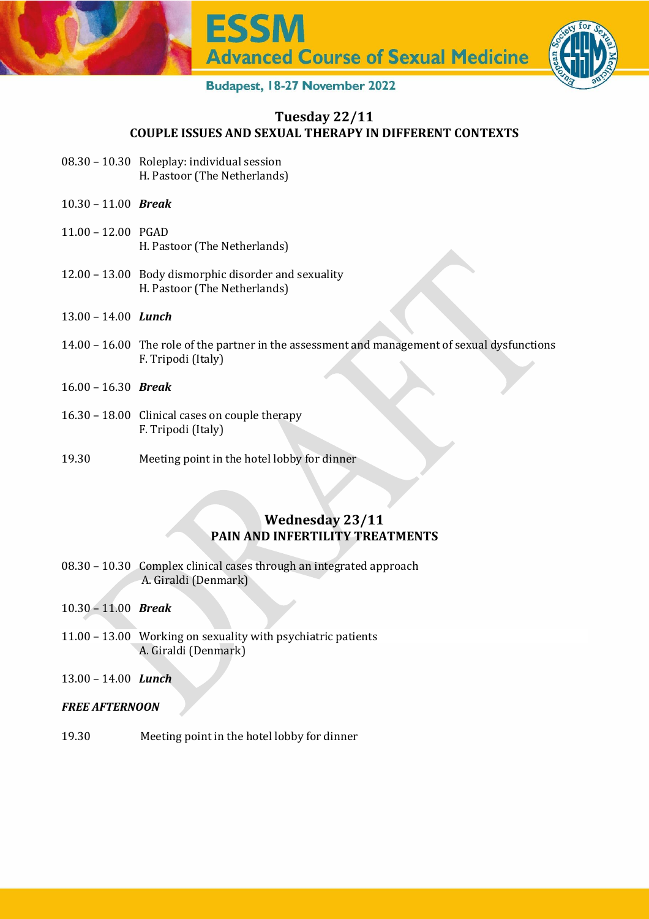

## **Tuesday 22/11 COUPLE ISSUES AND SEXUAL THERAPY IN DIFFERENT CONTEXTS**

- 08.30 10.30 Roleplay: individual session H. Pastoor (The Netherlands)
- 10.30 11.00 *Break*
- 11.00 12.00 PGAD H. Pastoor (The Netherlands)
- 12.00 13.00 Body dismorphic disorder and sexuality H. Pastoor (The Netherlands)
- 13.00 14.00 *Lunch*
- 14.00 16.00 The role of the partner in the assessment and management of sexual dysfunctions F. Tripodi (Italy)
- 16.00 16.30 *Break*
- 16.30 18.00 Clinical cases on couple therapy F. Tripodi (Italy)
- 19.30 Meeting point in the hotel lobby for dinner

# **Wednesday 23/11 PAIN AND INFERTILITY TREATMENTS**

- 08.30 10.30 Complex clinical cases through an integrated approach A. Giraldi (Denmark)
- 10.30 11.00 *Break*
- 11.00 13.00 Working on sexuality with psychiatric patients A. Giraldi (Denmark)
- 13.00 14.00 *Lunch*

#### *FREE AFTERNOON*

19.30 Meeting point in the hotel lobby for dinner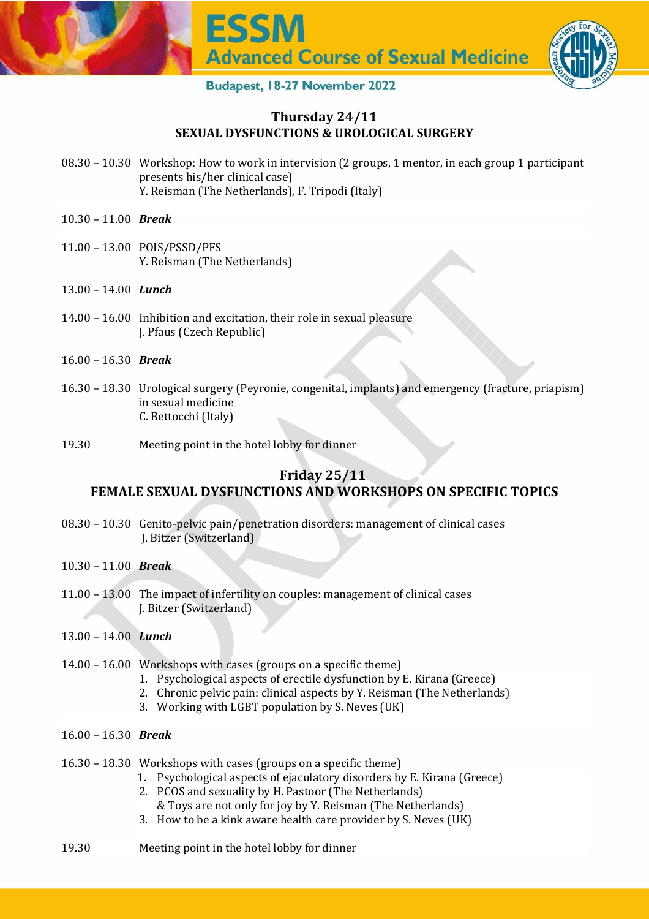

## **Thursday 24/11 SEXUAL DYSFUNCTIONS & UROLOGICAL SURGERY**

- 08.30 10.30 Workshop: How to work in intervision (2 groups, 1 mentor, in each group 1 participant presents his/her clinical case) Y. Reisman (The Netherlands), F. Tripodi (Italy)
- 10.30 11.00 *Break*
- 11.00 13.00 POIS/PSSD/PFS Y. Reisman (The Netherlands)
- 13.00 14.00 *Lunch*
- 14.00 16.00 Inhibition and excitation, their role in sexual pleasure J. Pfaus (Czech Republic)
- 16.00 16.30 *Break*
- 16.30 18.30 Urological surgery (Peyronie, congenital, implants) and emergency (fracture, priapism) in sexual medicine C. Bettocchi (Italy)
- 19.30 Meeting point in the hotel lobby for dinner

# **Friday 25/11 FEMALE SEXUAL DYSFUNCTIONS AND WORKSHOPS ON SPECIFIC TOPICS**

- 08.30 10.30 Genito-pelvic pain/penetration disorders: management of clinical cases J. Bitzer (Switzerland)
- 10.30 11.00 *Break*
- 11.00 13.00 The impact of infertility on couples: management of clinical cases J. Bitzer (Switzerland)
- 13.00 14.00 *Lunch*
- 14.00 16.00 Workshops with cases (groups on a specific theme)
	- 1. Psychological aspects of erectile dysfunction by E. Kirana (Greece)
	- 2. Chronic pelvic pain: clinical aspects by Y. Reisman (The Netherlands)
	- 3. Working with LGBT population by S. Neves (UK)
- 16.00 16.30 *Break*
- 16.30 18.30 Workshops with cases (groups on a specific theme)
	- 1. Psychological aspects of ejaculatory disorders by E. Kirana (Greece)
	- 2. PCOS and sexuality by H. Pastoor (The Netherlands)
		- & Toys are not only for joy by Y. Reisman (The Netherlands)
	- 3. How to be a kink aware health care provider by S. Neves (UK)
- 19.30 Meeting point in the hotel lobby for dinner